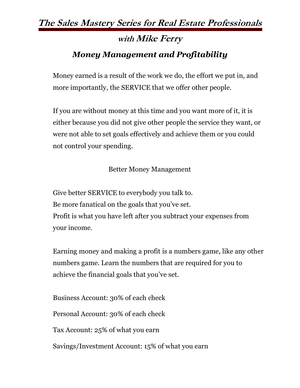## **The Sales Mastery Series for Real Estate Professionals**

# **with Mike Ferry** *Money Management and Profitability*

Money earned is a result of the work we do, the effort we put in, and more importantly, the SERVICE that we offer other people.

If you are without money at this time and you want more of it, it is either because you did not give other people the service they want, or were not able to set goals effectively and achieve them or you could not control your spending.

#### Better Money Management

Give better SERVICE to everybody you talk to. Be more fanatical on the goals that you've set. Profit is what you have left after you subtract your expenses from your income.

Earning money and making a profit is a numbers game, like any other numbers game. Learn the numbers that are required for you to achieve the financial goals that you've set.

Business Account: 30% of each check

Personal Account: 30% of each check

Tax Account: 25% of what you earn

Savings/Investment Account: 15% of what you earn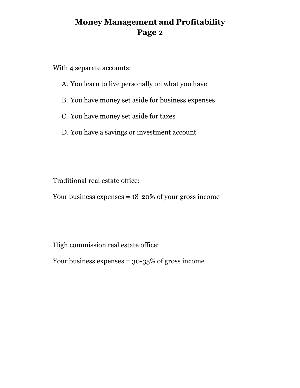### **Money Management and Profitability Page** 2

With 4 separate accounts:

- A. You learn to live personally on what you have
- B. You have money set aside for business expenses
- C. You have money set aside for taxes
- D. You have a savings or investment account

Traditional real estate office:

Your business expenses = 18-20% of your gross income

High commission real estate office:

Your business expenses = 30-35% of gross income